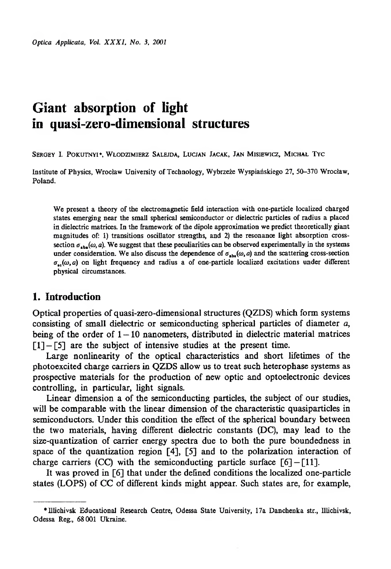# **Giant absorption of light in quasi-zero-dimensional structures**

SERGEY I. POKUTNYI<sup>\*</sup>, WŁODZIMIERZ SALEJDA, LUCJAN JACAK, JAN MISIEWICZ, MICHAŁ TYC

**Institute of Physics, Wrocław University of Technology, Wybrzeże Wyspiańskiego 27, 50-370 Wrocław, Poland.**

**We present a theory of the electromagnetic field interaction with one-particle localized charged states emerging near the small spherical semiconductor or dielectric particles of radius a placed in dielectric matrices. In the framework of the dipole approximation we predict theoretically giant magnitudes of: 1) transitions oscillator strengths, and 2) the resonance light absorption cross**section  $\sigma_{\text{inc}}(\omega, a)$ . We suggest that these peculiarities can be observed experimentally in the systems under consideration. We also discuss the dependence of  $\sigma_{\text{obs}}(\omega, a)$  and the scattering cross-section  $\sigma_{\text{sc}}(\omega, a)$  on light frequency and radius a of one-particle localized excitations under different **physical circumstances.**

### **1. Introduction**

Optical properties of quasi-zero-dimensional structures (QZDS) which form systems consisting of small dielectric or semiconducting spherical particles of diameter *a,* being of the order of  $1 - 10$  nanometers, distributed in dielectric material matrices  $\lceil 1 \rceil - \lceil 5 \rceil$  are the subject of intensive studies at the present time.

Large nonlinearity of the optical characteristics and short lifetimes of the photoexcited charge carriers in QZDS allow us to treat such heterophase systems as prospective materials for the production of new optic and optoelectronic devices controlling, in particular, light signals.

Linear dimension a of the semiconducting particles, the subject of our studies, will be comparable with the linear dimension of the characteristic quasiparticles in semiconductors. Under this condition the effect of the spherical boundary between the two materials, having different dielectric constants (DC), may lead to the size-quantization of carrier energy spectra due to both the pure boundedness in space of the quantization region [4], [5] and to the polarization interaction of charge carriers (CC) with the semiconducting particle surface  $\lceil 6 \rceil - \lceil 11 \rceil$ .

It was proved in [6] that under the defined conditions the localized one-particle states (LOPS) of CC of different kinds might appear. Such states are, for example,

**<sup>\*</sup>Ulichivsk Educational Research Centre, Odessa State University, 17a Danchenka str., Illichivsk, Odessa Reg., 68 001 Ukraine.**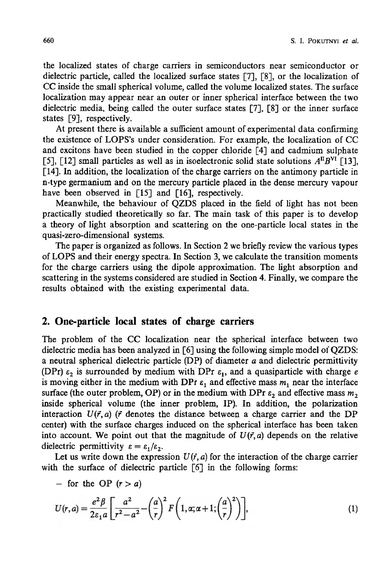the localized states of charge carriers in semiconductors near semiconductor or dielectric particle, called the localized surface states [7], [8], or the localization of CC inside the small spherical volume, called the volume localized states. The surface localization may appear near an outer or inner spherical interface between the two dielectric media, being called the outer surface states [7], [8] or the inner surface states [9], respectively.

At present there is available a sufficient amount of experimental data confirming the existence of LOPS's under consideration. For example, the localization of CC and excitons have been studied in the copper chloride [4] and cadmium sulphate [5], [12] small particles as well as in isoelectronic solid state solutions  $A^{H}B^{VI}$  [13], [14]. In addition, the localization of the charge carriers on the antimony particle in n-type germanium and on the mercury particle placed in the dense mercury vapour have been observed in [15] and [16], respectively.

Meanwhile, the behaviour of QZDS placed in the field of light has not been practically studied theoretically so far. The main task of this paper is to develop a theory of light absorption and scattering on the one-particle local states in the quasi-zero-dimensional systems.

The paper is organized as follows. In Section 2 we briefly review the various types of LOPS and their energy spectra. In Section 3, we calculate the transition moments for the charge carriers using the dipole approximation. The light absorption and scattering in the systems considered are studied in Section 4. Finally, we compare the results obtained with the existing experimental data.

#### **2. One-particle local states of charge carriers**

The problem of the CC localization near the spherical interface between two dielectric media has been analyzed in [6] using the following simple model of QZDS: a neutral spherical dielectric particle (DP) of diameter *a* and dielectric permittivity (DPr)  $\varepsilon_2$  is surrounded by medium with DPr  $\varepsilon_1$ , and a quasiparticle with charge *e* is moving either in the medium with DPr  $\varepsilon_1$  and effective mass  $m_1$  near the interface surface (the outer problem, OP) or in the medium with DPr  $\varepsilon_2$  and effective mass  $m_2$ inside spherical volume (the inner problem, IP). In addition, the polarization interaction  $U(\vec{r}, a)$  ( $\vec{r}$  denotes the distance between a charge carrier and the DP center) with the surface charges induced on the spherical interface has been taken into account. We point out that the magnitude of  $U(\vec{r},a)$  depends on the relative dielectric permittivity  $\varepsilon = \varepsilon_1/\varepsilon_2$ .

Let us write down the expression  $U(\vec{r}, a)$  for the interaction of the charge carrier with the surface of dielectric particle [6] in the following forms:

 $-$  for the OP  $(r > a)$ 

$$
U(r,a) = \frac{e^2 \beta}{2\varepsilon_1 a} \left[ \frac{a^2}{r^2 - a^2} - \left(\frac{a}{r}\right)^2 F\left(1, \alpha; \alpha + 1; \left(\frac{a}{r}\right)^2\right) \right],\tag{1}
$$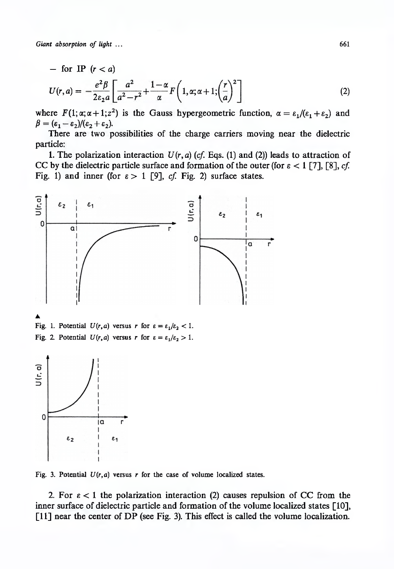- for IP 
$$
(r < a)
$$
  
\n
$$
U(r,a) = -\frac{e^2 \beta}{2\varepsilon_2 a} \left[ \frac{a^2}{a^2 - r^2} + \frac{1 - \alpha}{\alpha} F\left(1, \alpha; \alpha + 1; \left(\frac{r}{a}\right)^2\right) \right]
$$
\n(2)

where  $F(1; \alpha; \alpha + 1; z^2)$  is the Gauss hypergeometric function,  $\alpha = \varepsilon_1/(\varepsilon_1 + \varepsilon_2)$  and  $\beta = (\varepsilon_1-\varepsilon_2)/(\varepsilon_2+\varepsilon_2).$ 

There are two possibilities of the charge carriers moving near the dielectric particle:

1. The polarization interaction  $U(r, a)$  (cf. Eqs. (1) and (2)) leads to attraction of CC by the dielectric particle surface and formation of the outer (for  $\varepsilon < 1$  [7], [8], *cf.* Fig. 1) and inner (for  $\varepsilon > 1$  [9], *cf.* Fig. 2) surface states.



**Fig. 1. Potential**  $U(r, a)$  versus *r* for  $\varepsilon = \varepsilon_1/\varepsilon_2 < 1$ . **Fig. 2. Potential**  $U(r, a)$  **versus** *r* **for**  $\varepsilon = \varepsilon_1/\varepsilon_2 > 1$ **.** 



Fig. 3. Potential  $U(r, a)$  versus  $r$  for the case of volume localized states.

2. For  $\epsilon < 1$  the polarization interaction (2) causes repulsion of CC from the inner surface of dielectric particle and formation of the volume localized states [10], [11] near the center of DP (see Fig. 3). This effect is called the volume localization.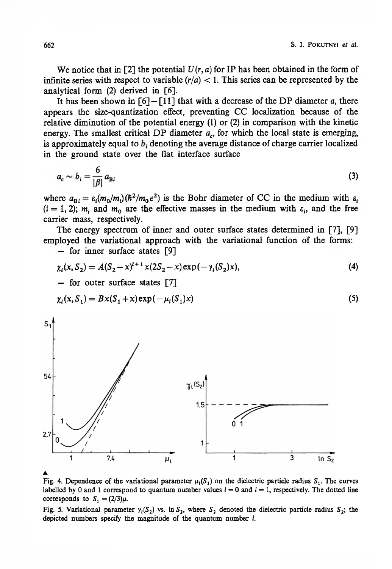We notice that in [2] the potential  $U(r, a)$  for IP has been obtained in the form of infinite series with respect to variable  $(r/a) < 1$ . This series can be represented by the analytical form (2) derived in [6].

It has been shown in  $[6] - [11]$  that with a decrease of the DP diameter *a*, there appears the size-quantization effect, preventing CC localization because of the relative diminution of the potential energy (1) or (2) in comparison with the kinetic energy. The smallest critical DP diameter  $a_c$ , for which the local state is emerging, is approximately equal to  $b_i$  denoting the average distance of charge carrier localized in the ground state over the flat interface surface

$$
a_c \sim b_i = \frac{6}{|\beta|} a_{\text{Bi}} \tag{3}
$$

where  $a_{B_i} = \varepsilon_i (m_0/m_i) (\hbar^2 / m_0 e^2)$  is the Bohr diameter of CC in the medium with  $\varepsilon_i$  $(i = 1, 2)$ ;  $m_i$  and  $m_0$  are the effective masses in the medium with  $\varepsilon_i$ , and the free carrier mass, respectively.

The energy spectrum of inner and outer surface states determined in [7], [9] employed the variational approach with the variational function of the forms:

— for inner surface states [9]

$$
\chi_l(x, S_2) = A(S_2 - x)^{l+1} x(2S_2 - x) \exp(-\gamma_l(S_2)x),
$$
  
– for outer surface states [7]

$$
\chi_{l}(x, S_{1}) = Bx(S_{1} + x) \exp(-\mu_{l}(S_{1})x)
$$
\n(5)



Fig. 4. Dependence of the variational parameter  $\mu_l(S_1)$  on the dielectric particle radius  $S_1$ . The curves labelled by 0 and 1 correspond to quantum number values  $l = 0$  and  $l = 1$ , respectively. The dotted line **corresponds** to  $S_1 = (2/3)\mu$ .

**Fig. 5. Variational parameter**  $\gamma_1(S_2)$  **vs. In**  $S_2$ **, where**  $S_2$  **denoted the dielectric particle radius**  $S_2$ **; the depicted numbers specify the magnitude of the quantum number /.**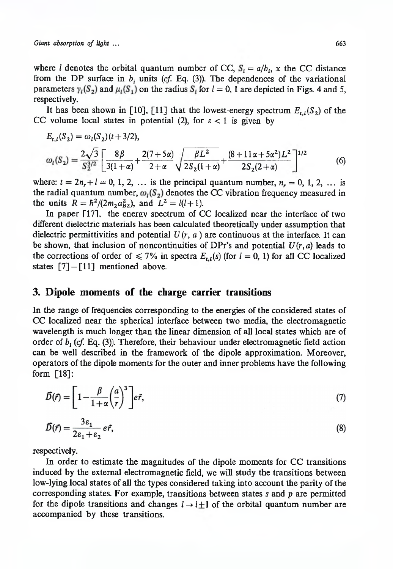where *l* denotes the orbital quantum number of CC,  $S_i = a/b_i$ , x the CC distance from the DP surface in  $b_i$  units ( $cf.$  Eq. (3)). The dependences of the variational parameters  $\gamma_l(S_2)$  and  $\mu_l(S_1)$  on the radius  $S_i$  for  $l = 0$ , 1 are depicted in Figs. 4 and 5, respectively.

It has been shown in [10], [11] that the lowest-energy spectrum  $E_{t,l}(S_2)$  of the CC volume local states in potential (2), for  $\varepsilon < 1$  is given by

$$
E_{t,l}(S_2) = \omega_l(S_2)(t+3/2),
$$
  
\n
$$
\omega_l(S_2) = \frac{2\sqrt{3}}{S_2^{3/2}} \left[ \frac{8\beta}{3(1+\alpha)} + \frac{2(7+5\alpha)}{2+\alpha} \sqrt{\frac{\beta L^2}{2S_2(1+\alpha)}} + \frac{(8+11\alpha+5\alpha^2)L^2}{2S_2(2+\alpha)} \right]^{1/2}
$$
 (6)

where:  $t = 2n_r + l = 0, 1, 2, ...$  is the principal quantum number,  $n_r = 0, 1, 2, ...$  is the radial quantum number,  $\omega_l(S_2)$  denotes the CC vibration frequency measured in the units  $R = \frac{\hbar^2}{2m_2 a_{B2}^2}$ , and  $L^2 = l(l+1)$ .

In paper  $[17]$ , the energy spectrum of CC localized near the interface of two different dielectric materials has been calculated theoretically under assumption that dielectric permittivities and potential  $U(r, a)$  are continuous at the interface. It can be shown, that inclusion of noncontinuities of DPr's and potential  $U(r, a)$  leads to the corrections of order of  $\leq 7\%$  in spectra  $E_{t,l}(s)$  (for  $l = 0, 1$ ) for all CC localized states  $\lceil 7 \rceil - \lceil 11 \rceil$  mentioned above.

## **3. Dipole moments of the charge carrier transitions**

In the range of frequencies corresponding to the energies of the considered states of CC localized near the spherical interface between two media, the electromagnetic wavelength is much longer than the linear dimension of all local states which are of order of *b{* (*cf.* Eq. (3)). Therefore, their behaviour under electromagnetic field action can be well described in the framework of the dipole approximation. Moreover, operators of the dipole moments for the outer and inner problems have the following form [18]:

$$
\vec{D}(\vec{r}) = \left[1 - \frac{\beta}{1 + \alpha} \left(\frac{a}{r}\right)^3\right] e\vec{r},\tag{7}
$$

$$
\vec{D}(\vec{r}) = \frac{3\epsilon_1}{2\epsilon_1 + \epsilon_2} e\vec{r},\tag{8}
$$

respectively.

In order to estimate the magnitudes of the dipole moments for CC transitions induced by the external electromagnetic field, we will study the transitions between low-lying local states of all the types considered taking into account the parity of the corresponding states. For example, transitions between states *s* and *p* are permitted for the dipole transitions and changes  $l \rightarrow l+1$  of the orbital quantum number are accompanied by these transitions.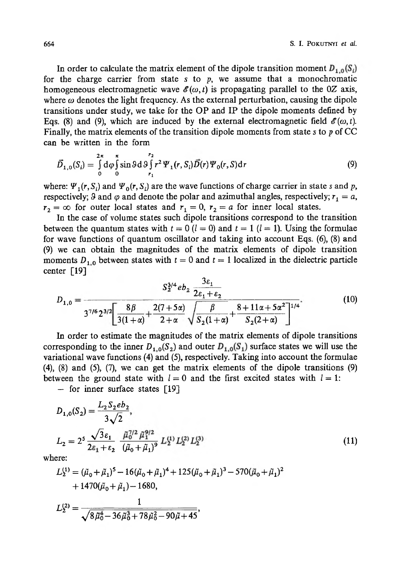In order to calculate the matrix element of the dipole transition moment  $D_{1,0}(S_i)$ for the charge carrier from state s to  $p$ , we assume that a monochromatic homogeneous electromagnetic wave  $\mathscr{E}(\omega, t)$  is propagating parallel to the 0Z axis, where  $\omega$  denotes the light frequency. As the external perturbation, causing the dipole transitions under study, we take for the OP and IP the dipole moments defined by Eqs. (8) and (9), which are induced by the external electromagnetic field  $\mathscr{E}(\omega, t)$ . Finally, the matrix elements of the transition dipole moments from state *s* to *p* of CC can be written in the form

$$
\vec{D}_{1,0}(S_i) = \int_{0}^{2\pi} d\varphi \int_{0}^{\pi} \sin \vartheta d\vartheta \int_{r_1}^{r_2} r^2 \Psi_1(r, S_i) \vec{D}(r) \Psi_0(r, S) dr
$$
\n(9)

where:  $\Psi_1(r, S_i)$  and  $\Psi_0(r, S_i)$  are the wave functions of charge carrier in state *s* and *p*, respectively; 9 and  $\varphi$  and denote the polar and azimuthal angles, respectively;  $r_1 = a$ ,  $r_2 = \infty$  for outer local states and  $r_1 = 0$ ,  $r_2 = a$  for inner local states.

In the case of volume states such dipole transitions correspond to the transition between the quantum states with  $t = 0$  ( $l = 0$ ) and  $t = 1$  ( $l = 1$ ). Using the formulae for wave functions of quantum oscillator and taking into account Eqs. (6), (8) and (9) we can obtain the magnitudes of the matrix elements of dipole transition moments  $D_{1,0}$  between states with  $t = 0$  and  $t = 1$  localized in the dielectric particle center [19]

$$
D_{1,0} = \frac{S_2^{3/4}eb_2 \frac{3\epsilon_1}{2\epsilon_1 + \epsilon_2}}{3^{7/6} 2^{3/2} \left[ \frac{8\beta}{3(1+\alpha)} + \frac{2(7+5\alpha)}{2+\alpha} \sqrt{\frac{\beta}{S_2(1+\alpha)}} + \frac{8+11\alpha+5\alpha^2}{S_2(2+\alpha)} \right]^{1/4}}.
$$
(10)

In order to estimate the magnitudes of the matrix elements of dipole transitions corresponding to the inner  $D_{1,0}(S_2)$  and outer  $D_{1,0}(S_1)$  surface states we will use the variational wave functions (4) and (5), respectively. Taking into account the formulae (4), (8) and (5), (7), we can get the matrix elements of the dipole transitions (9) between the ground state with  $l = 0$  and the first excited states with  $l = 1$ :

— for inner surface states [19]

$$
D_{1,0}(S_2) = \frac{L_2 S_2 e b_2}{3\sqrt{2}},
$$
  
\n
$$
L_2 = 2^5 \frac{\sqrt{3} \varepsilon_1}{2\varepsilon_1 + \varepsilon_2} \frac{\tilde{\mu}_0^{7/2} \tilde{\mu}_1^{9/2}}{(\tilde{\mu}_0 + \tilde{\mu}_1)^9} L_2^{(1)} L_2^{(2)} L_2^{(3)}
$$
\n(11)

where:

$$
L_2^{(1)} = (\tilde{\mu}_0 + \tilde{\mu}_1)^5 - 16(\tilde{\mu}_0 + \tilde{\mu}_1)^4 + 125(\tilde{\mu}_0 + \tilde{\mu}_1)^3 - 570(\tilde{\mu}_0 + \tilde{\mu}_1)^2
$$
  
+ 1470( $\tilde{\mu}_0 + \tilde{\mu}_1$ ) – 1680,  

$$
L_2^{(2)} = \frac{1}{\sqrt{8\tilde{\mu}_0^4 - 36\tilde{\mu}_0^3 + 78\tilde{\mu}_0^2 - 90\tilde{\mu} + 45}},
$$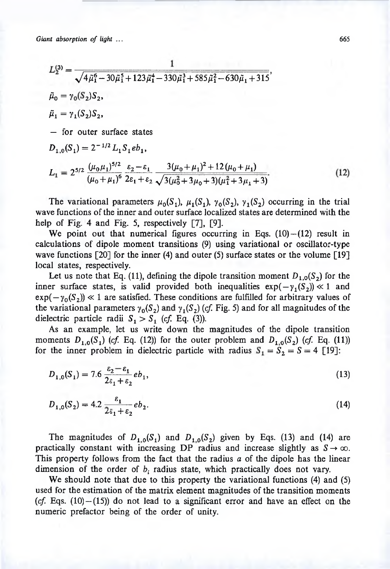$$
L_2^{(3)} = \frac{1}{\sqrt{4\tilde{\mu}_1^6 - 30\tilde{\mu}_1^5 + 123\tilde{\mu}_1^4 - 330\tilde{\mu}_1^3 + 585\tilde{\mu}_1^2 - 630\tilde{\mu}_1 + 315}},
$$
  
\n
$$
\tilde{\mu}_0 = \gamma_0(S_2)S_2,
$$
  
\n
$$
\tilde{\mu}_1 = \gamma_1(S_2)S_2,
$$
  
\n- for outer surface states  
\n
$$
D_{1,0}(S_1) = 2^{-1/2} L_1 S_1 e b_1,
$$
  
\n
$$
L_1 = 2^{5/2} \frac{(\mu_0 \mu_1)^{5/2}}{(\mu_0 + \mu_1)^6} \frac{\varepsilon_2 - \varepsilon_1}{2\varepsilon_1 + \varepsilon_2} \frac{3(\mu_0 + \mu_1)^2 + 12(\mu_0 + \mu_1)}{\sqrt{3(\mu_0^2 + 3\mu_0 + 3)(\mu_1^2 + 3\mu_1 + 3)}}.
$$

The variational parameters  $\mu_0(S_1)$ ,  $\mu_1(S_1)$ ,  $\gamma_0(S_2)$ ,  $\gamma_1(S_2)$  occurring in the trial wave functions of the inner and outer surface localized states are determined with the help of Fig. 4 and Fig. 5, respectively [7], [9].

We point out that numerical figures occurring in Eqs.  $(10) - (12)$  result in calculations of dipole moment transitions (9) using variational or oscillator-type wave functions  $\lceil 20 \rceil$  for the inner (4) and outer (5) surface states or the volume  $\lceil 19 \rceil$ local states, respectively.

Let us note that Eq. (11), defining the dipole transition moment  $D_{1,0}(S_2)$  for the inner surface states, is valid provided both inequalities  $exp(-\gamma_1(S_2)) \ll 1$  and  $exp(-\gamma_0(S_2)) \ll 1$  are satisfied. These conditions are fulfilled for arbitrary values of the variational parameters  $\gamma_0(S_2)$  and  $\gamma_1(S_2)$  (*cf.* Fig. 5) and for all magnitudes of the dielectric particle radii  $S_1 > S_1$  (cf. Eq. (3)).

As an example, let us write down the magnitudes of the dipole transition moments  $D_{1,0}(S_1)$  (cf. Eq. (12)) for the outer problem and  $D_{1,0}(S_2)$  (cf. Eq. (11)) for the inner problem in dielectric particle with radius  $S_1 = S_2 = S = 4$  [19]:

$$
D_{1,0}(S_1) = 7.6 \frac{\varepsilon_2 - \varepsilon_1}{2\varepsilon_1 + \varepsilon_2} e b_1,\tag{13}
$$

$$
D_{1,0}(S_2) = 4.2 \frac{\varepsilon_1}{2\varepsilon_1 + \varepsilon_2} e b_2.
$$
 (14)

The magnitudes of  $D_{1,0}(S_1)$  and  $D_{1,0}(S_2)$  given by Eqs. (13) and (14) are practically constant with increasing DP radius and increase slightly as  $S \rightarrow \infty$ . This property follows from the fact that the radius *a* of the dipole has the linear dimension of the order of  $b_i$  radius state, which practically does not vary.

We should note that due to this property the variational functions (4) and (5) used for the estimation of the matrix element magnitudes of the transition moments  $(cf. Eqs. (10) - (15))$  do not lead to a significant error and have an effect on the numeric prefactor being of the order of unity.

 $(12)$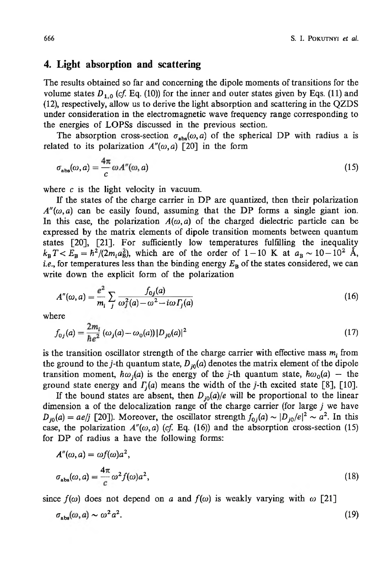#### **4. Light absorption and scattering**

The results obtained so far and concerning the dipole moments of transitions for the volume states  $D_{1,0}$  (*cf.* Eq. (10)) for the inner and outer states given by Eqs. (11) and (12), respectively, allow us to derive the light absorption and scattering in the QZDS under consideration in the electromagnetic wave frequency range corresponding to the energies of LOPSs discussed in the previous section.

The absorption cross-section  $\sigma_{abs}(\omega, a)$  of the spherical DP with radius a is related to its polarization  $A''(\omega, a)$  [20] in the form

$$
\sigma_{\rm abs}(\omega, a) = \frac{4\pi}{c} \omega A''(\omega, a)
$$
\n(15)

where *c* is the light velocity in vacuum.

If the states of the charge carrier in DP are quantized, then their polarization  $A''(\omega, a)$  can be easily found, assuming that the DP forms a single giant ion. In this case, the polarization  $A(\omega, a)$  of the charged dielectric particle can be expressed by the matrix elements of dipole transition moments between quantum states [20], [21]. For sufficiently low temperatures fulfilling the inequality  $k_{\rm B}T < E_{\rm B} = \hbar^2/(2m_{\rm i}a_{\rm B}^2)$ , which are of the order of 1-10 K at  $a_{\rm B} \sim 10-10^2$  Å, *i.e.*, for temperatures less than the binding energy  $E_B$  of the states considered, we can write down the explicit form of the polarization

$$
A''(\omega, a) = \frac{e^2}{m_i} \sum_j \frac{f_{0j}(a)}{\omega_j^2(a) - \omega^2 - i\omega \Gamma_j(a)}\tag{16}
$$

where

$$
f_{0j}(a) = \frac{2m_i}{\hbar e^2} \left( \omega_j(a) - \omega_0(a) \right) |D_{j0}(a)|^2
$$
\n(17)

is the transition oscillator strength of the charge carrier with effective mass  $m_i$  from the ground to the *j*-th quantum state,  $D_{i0}(a)$  denotes the matrix element of the dipole transition moment,  $\hbar \omega_i(a)$  is the energy of the *j*-th quantum state,  $\hbar \omega_0(a)$  – the ground state energy and  $\Gamma_i(a)$  means the width of the j-th excited state [8], [10].

If the bound states are absent, then  $D_{i0}(a)/e$  will be proportional to the linear dimension a of the delocalization range of the charge carrier (for large *j* we have  $D_{i0}(a) = a e/j$  [20]). Moreover, the oscillator strength  $f_{0i}(a) \sim |D_{i0}/e|^2 \sim a^2$ . In this case, the polarization  $A''(\omega, a)$  (*cf.* Eq. (16)) and the absorption cross-section (15) for DP of radius a have the following forms:

$$
A''(\omega, a) = \omega f(\omega) a^2,
$$
  
\n
$$
\sigma_{\text{abs}}(\omega, a) = \frac{4\pi}{c} \omega^2 f(\omega) a^2,
$$
\n(18)

since  $f(\omega)$  does not depend on *a* and  $f(\omega)$  is weakly varying with  $\omega$  [21]

$$
\sigma_{\rm abs}(\omega, a) \sim \omega^2 a^2. \tag{19}
$$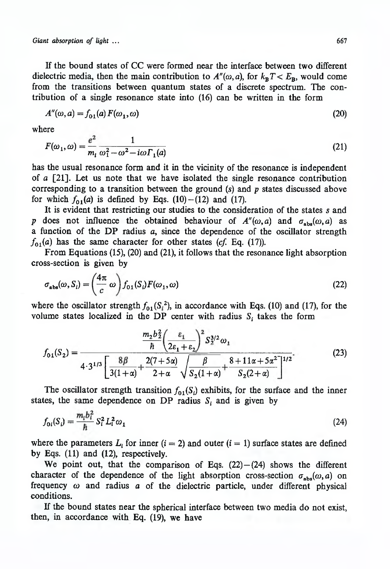*Giant absorption of light* **... 667**

If the bound states of CC were formed near the interface between two different dielectric media, then the main contribution to  $A''(\omega, a)$ , for  $k_B T \lt E_B$ , would come from the transitions between quantum states of a discrete spectrum. The contribution of a single resonance state into (16) can be written in the form

$$
A''(\omega, a) = f_{01}(a) F(\omega_1, \omega) \tag{20}
$$

where

$$
F(\omega_1, \omega) = \frac{e^2}{m_i} \frac{1}{\omega_1^2 - \omega^2 - i\omega \Gamma_1(a)}\tag{21}
$$

has the usual resonance form and it in the vicinity of the resonance is independent of *a* [21]. Let us note that we have isolated the single resonance contribution corresponding to a transition between the ground (s) and *p* states discussed above for which  $f_{01}(a)$  is defined by Eqs. (10) –(12) and (17).

It is evident that restricting our studies to the consideration of the states *s* and *p* does not influence the obtained behaviour of  $A''(\omega, a)$  and  $\sigma_{abs}(\omega, a)$  as a function of the DP radius *a,* since the dependence of the oscillator strength  $f_{01}(a)$  has the same character for other states (*cf.* Eq. (17)).

From Equations (15), (20) and (21), it follows that the resonance light absorption cross-section is given by

$$
\sigma_{\rm abs}(\omega, S_i) = \left(\frac{4\pi}{c}\,\omega\right) f_{01}(S_i) F(\omega_1, \omega) \tag{22}
$$

where the oscillator strength  $f_{01}(S_1^2)$ , in accordance with Eqs. (10) and (17), for the volume states localized in the DP center with radius  $S_i$  takes the form

$$
f_{01}(S_2) = \frac{\frac{m_2 b_2^2}{\hbar} \left(\frac{\varepsilon_1}{2\varepsilon_1 + \varepsilon_2}\right)^2 S_2^{3/2} \omega_1}{4 \cdot 3^{1/3} \left[\frac{8\beta}{3(1+\alpha)} + \frac{2(7+5\alpha)}{2+\alpha} \sqrt{\frac{\beta}{S_2(1+\alpha)}} + \frac{8+11\alpha+5\alpha^2}{S_2(2+\alpha)}\right]^{1/2}}.
$$
(23)

The oscillator strength transition  $f_{01}(S_i)$  exhibits, for the surface and the inner states, the same dependence on DP radius  $S_i$  and is given by

$$
f_{0i}(S_i) = \frac{m_i b_i^2}{\hbar} S_i^2 L_i^2 \omega_1
$$
 (24)

where the parameters  $L_i$  for inner (i = 2) and outer (i = 1) surface states are defined by Eqs. (11) and (12), respectively.

We point out, that the comparison of Eqs.  $(22) - (24)$  shows the different character of the dependence of the light absorption cross-section  $\sigma_{abs}(\omega, a)$  on frequency *co* and radius *a* of the dielectric particle, under different physical conditions.

If the bound states near the spherical interface between two media do not exist, then, in accordance with Eq. (19), we have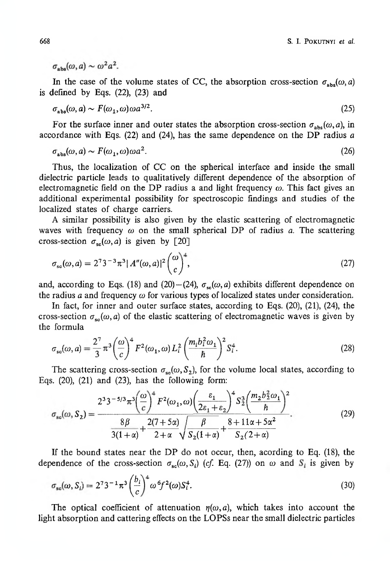$\sigma_{\text{obs}}(\omega, a) \sim \omega^2 a^2$ .

In the case of the volume states of CC, the absorption cross-section  $\sigma_{\text{abs}}(\omega, a)$ is defined by Eqs. (22), (23) and

$$
\sigma_{\rm abs}(\omega, a) \sim F(\omega_1, \omega)\omega a^{3/2}.\tag{25}
$$

For the surface inner and outer states the absorption cross-section  $\sigma_{abs}(\omega, a)$ , in accordance with Eqs. (22) and (24), has the same dependence on the DP radius *a*

$$
\sigma_{\rm abs}(\omega, a) \sim F(\omega_1, \omega)\omega a^2. \tag{26}
$$

Thus, the localization of CC on the spherical interface and inside the small dielectric particle leads to qualitatively different dependence of the absorption of electromagnetic field on the DP radius a and light frequency  $\omega$ . This fact gives an additional experimental possibility for spectroscopic findings and studies of the localized states of charge carriers.

A similar possibility is also given by the elastic scattering of electromagnetic waves with frequency  $\omega$  on the small spherical DP of radius *a*. The scattering cross-section  $\sigma_{\rm sc}(\omega, a)$  is given by [20]

$$
\sigma_{\rm sc}(\omega, a) = 2^7 3^{-3} \pi^3 |A''(\omega, a)|^2 {\omega \choose c}^4,
$$
\n(27)

and, according to Eqs. (18) and (20) – (24),  $\sigma_{sc}(\omega, a)$  exhibits different dependence on the radius *a* and frequency  $\omega$  for various types of localized states under consideration.

In fact, for inner and outer surface states, according to Eqs. (20), (21), (24), the cross-section  $\sigma_{sc}(\omega, a)$  of the elastic scattering of electromagnetic waves is given by the formula

$$
\sigma_{sc}(\omega, a) = \frac{2^7}{3} \pi^3 \left(\frac{\omega}{c}\right)^4 F^2(\omega_1, \omega) L_i^2 \left(\frac{m_i b_i^2 \omega_1}{\hbar}\right)^2 S_i^4.
$$
 (28)

The scattering cross-section  $\sigma_{sc}(\omega, S_2)$ , for the volume local states, according to Eqs.  $(20)$ ,  $(21)$  and  $(23)$ , has the following form:

$$
\sigma_{\rm sc}(\omega, S_2) = \frac{2^3 3^{-5/3} \pi^3 \left(\frac{\omega}{c}\right)^4 F^2(\omega_1, \omega) \left(\frac{\varepsilon_1}{2\varepsilon_1 + \varepsilon_2}\right)^4 S_2^3 \left(\frac{m_2 b_2^2 \omega_1}{\hbar}\right)^2}{\frac{8\beta}{3(1+\alpha)} + \frac{2(7+5\alpha)}{2+\alpha} \sqrt{\frac{\beta}{S_2(1+\alpha)}} + \frac{8+11\alpha+5\alpha^2}{S_2(2+\alpha)}}.
$$
(29)

If the bound states near the DP do not occur, then, acording to Eq. (18), the dependence of the cross-section  $\sigma_{sc}(\omega, S_i)$  (cf. Eq. (27)) on  $\omega$  and  $S_i$  is given by

$$
\sigma_{\rm sc}(\omega, S_i) = 2^7 3^{-1} \pi^3 \left(\frac{b_i}{c}\right)^4 \omega^6 f^2(\omega) S_i^4. \tag{30}
$$

The optical coefficient of attenuation  $\eta(\omega, a)$ , which takes into account the light absorption and cattering effects on the LOPSs near the small dielectric particles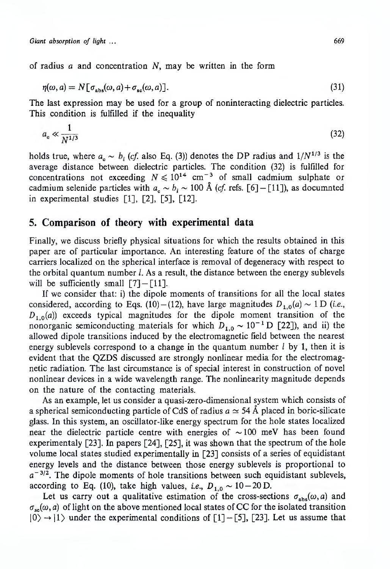of radius *a* and concentration *N,* may be written in the form

$$
\eta(\omega, a) = N[\sigma_{\text{abs}}(\omega, a) + \sigma_{\text{sc}}(\omega, a)].
$$
\n(31)

The last expression may be used for a group of noninteracting dielectric particles. This condition is fulfilled if the inequality

$$
a_{\rm e} \ll \frac{1}{N^{1/3}}\tag{32}
$$

holds true, where  $a_c \sim b_i$  (cf. also Eq. (3)) denotes the DP radius and  $1/N^{1/3}$  is the average distance between dielectric particles. The condition (32) is fulfilled for concentrations not exceeding  $N \leq 10^{14}$  cm<sup>-3</sup> of small cadmium sulphate or cadmium selenide particles with  $a_c \sim b_i \sim 100 \text{ Å}$  (cf. refs. [6] - [11]), as documnted in experimental studies [1], [2], [5], [12].

## **5. Comparison of theory with experimental data**

Finally, we discuss briefly physical situations for which the results obtained in this paper are of particular importance. An interesting feature of the states of charge carriers localized on the spherical interface is removal of degeneracy with respect to the orbital quantum number  $l$ . As a result, the distance between the energy sublevels will be sufficiently small  $[7] - [11]$ .

If we consider that: i) the dipole moments of transitions for all the local states considered, according to Eqs. (10) – (12), have large magnitudes  $D_{1,0}(a) \sim 1 \text{ D}$  (*i.e.*,  $D_{1,0}(a)$  exceeds typical magnitudes for the dipole moment transition of the nonorganic semiconducting materials for which  $D_{1,0} \sim 10^{-1}$  D [22]), and ii) the allowed dipole transitions induced by the electromagnetic field between the nearest energy sublevels correspond to a change in the quantum number  $l$  by 1, then it is evident that the QZDS discussed are strongly nonlinear media for the electromagnetic radiation. The last circumstance is of special interest in construction of novel nonlinear devices in a wide wavelength range. The nonlinearity magnitude depends on the nature of the contacting materials.

As an example, let us consider a quasi-zero-dimensional system which consists of a spherical semiconducting particle of CdS of radius  $a \simeq 54 \text{ Å}$  placed in boric-silicate glass. In this system, an oscillator-like energy spectrum for the hole states localized near the dielectric particle centre with energies of  $\sim 100$  meV has been found experimentaly  $[23]$ . In papers  $[24]$ ,  $[25]$ , it was shown that the spectrum of the hole volume local states studied experimentally in [23] consists of a series of equidistant energy levels and the distance between those energy sublevels is proportional to  $a^{-3/2}$ . The dipole moments of hole transitions between such equidistant sublevels, according to Eq. (10), take high values, *i.e.*,  $D_{1,0} \sim 10 - 20$  D.

Let us carry out a qualitative estimation of the cross-sections  $\sigma_{\text{abs}}(\omega, a)$  and  $\sigma_{sc}(\omega, a)$  of light on the above mentioned local states of CC for the isolated transition  $|0\rangle \rightarrow |1\rangle$  under the experimental conditions of  $[1] - [5]$ , [23]. Let us assume that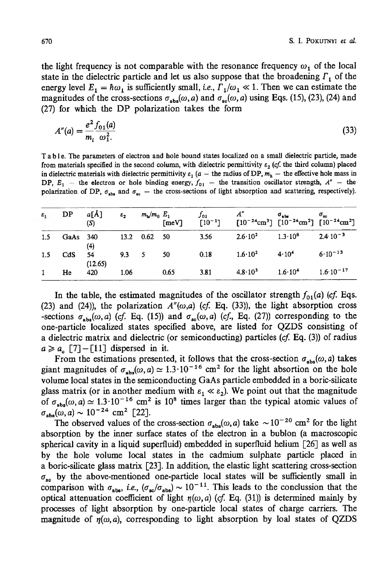the light frequency is not comparable with the resonance frequency  $\omega_1$  of the local state in the dielectric particle and let us also suppose that the broadening  $\Gamma_1$  of the energy level  $E_1 = \hbar \omega_1$  is sufficiently small, *i.e.*,  $\Gamma_1/\omega_1 \ll 1$ . Then we can estimate the magnitudes of the cross-sections  $\sigma_{abs}(\omega, a)$  and  $\sigma_{sc}(\omega, a)$  using Eqs. (15), (23), (24) and (27) for which the DP polarization takes the form

$$
A''(a) = \frac{e^2}{m_i} \frac{f_{01}(a)}{\omega_1^2} \tag{33}
$$

**T a b le . The parameters of electron and hole bound states localized on a small dielectric particle, made** from materials specified in the second column, with dielectric permittivity  $\varepsilon_2$  (cf. the third column) placed in dielectric materials with dielectric permittivity  $\varepsilon_1$  (a – the radius of DP,  $m<sub>h</sub>$  – the effective hole mass in DP,  $E_1$  — the electron or hole binding energy,  $f_{01}$  — the transition oscillator strength,  $A''$  — the polarization of DP,  $\sigma_{\text{obs}}$  and  $\sigma_{\text{sc}}$  — the cross-sections of light absorption and scattering, respectively).

| $\varepsilon_1$ | DP       | a[A]<br>(S)   | $\varepsilon_2$ | $m_{\rm b}/m_{\rm o}$ $E_{\rm 1}$ |      | $f_{01}$ | $\begin{array}{llll} E_1 & f_{01} & A'' & \sigma_{\rm abs} & \sigma_{\rm se} \\ \text{[meV]} & [10^{-1}] & [10^{-24} \text{cm}^3] & [10^{-24} \text{cm}^2] & [10^{-24} \text{cm}^2] \end{array}$ |                     |
|-----------------|----------|---------------|-----------------|-----------------------------------|------|----------|--------------------------------------------------------------------------------------------------------------------------------------------------------------------------------------------------|---------------------|
| 1.5             | GaAs 340 | (4)           |                 | 13.2 0.62 50                      |      | 3.56     | $2.6 \cdot 10^2$ $1.3 \cdot 10^8$                                                                                                                                                                | $2.4 \cdot 10^{-3}$ |
| 1.5             | CdS      | 54<br>(12.65) |                 | $9.3_{ }5$                        | -50  | 0.18     | $1.6 \cdot 10^2$ $4 \cdot 10^4$                                                                                                                                                                  | $6.10^{-13}$        |
| 1               | He       | 420           | 1.06            |                                   | 0.65 | 3.81     | $4.8 \cdot 10^3$ 1.6 10 <sup>4</sup>                                                                                                                                                             | $1.6 - 10^{-17}$    |

In the table, the estimated magnitudes of the oscillator strength  $f_{01}(a)$  (cf. Eqs. (23) and (24)), the polarization  $A''(\omega,a)$  (cf. Eq. (33)), the light absorption cross -sections  $\sigma_{\text{abs}}(\omega, a)$  (cf. Eq. (15)) and  $\sigma_{\text{sc}}(\omega, a)$  (cf., Eq. (27)) corresponding to the one-particle localized states specified above, are listed for QZDS consisting of a dielectric matrix and dielectric (or semiconducting) particles *(cf* Eq. (3)) of radius  $a \ge a_c$  [7] – [11] dispersed in it.

From the estimations presented, it follows that the cross-section  $\sigma_{\text{abs}}(\omega, a)$  takes giant magnitudes of  $\sigma_{abs}(\omega, a) \simeq 1.3 \cdot 10^{-16}$  cm<sup>2</sup> for the light absortion on the hole volume local states in the semiconducting GaAs particle embedded in a boric-silicate glass matrix (or in another medium with  $\varepsilon_1 \ll \varepsilon_2$ ). We point out that the magnitude of  $\sigma_{\text{abs}}(\omega, a) \simeq 1.3 \cdot 10^{-16}$  cm<sup>2</sup> is 10<sup>8</sup> times larger than the typical atomic values of  $\sigma_{\rm she}(\omega,a) \sim 10^{-24}$  cm<sup>2</sup> [22].

The observed values of the cross-section  $\sigma_{\text{abs}}(\omega, a)$  take  $\sim 10^{-20}$  cm<sup>2</sup> for the light absorption by the inner surface states of the electron in a bublon (a macroscopic spherical cavity in a liquid superfluid) embedded in superfluid helium [26] as well as by the hole volume local states in the cadmium sulphate particle placed in a boric-silicate glass matrix [23]. In addition, the elastic light scattering cross-section  $\sigma_{\rm so}$  by the above-mentioned one-particle local states will be sufficiently small in comparison with  $\sigma_{\text{abs}}$ , *i.e.*,  $(\sigma_{\text{sc}}/\sigma_{\text{abs}}) \sim 10^{-11}$ . This leads to the conclussion that the optical attenuation coefficient of light  $r(\omega, a)$  (cf. Eq. (31)) is determined mainly by processes of light absorption by one-particle local states of charge carriers. The magnitude of  $\eta(\omega, a)$ , corresponding to light absorption by loal states of QZDS